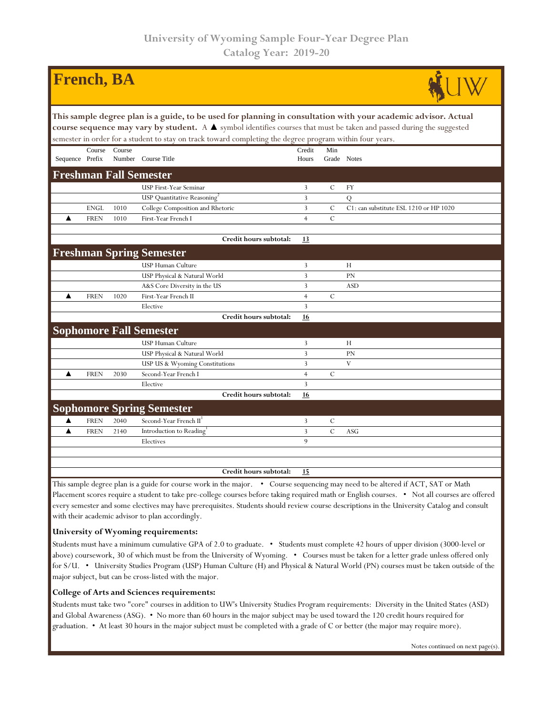| <b>French</b> , <b>BA</b>                                                                                                                                                                                                                                                                                                                           |                                                                                                                                                                                                                                                                                                                                                                                                                        |        |                                    |                 |               |                                        |  |  |  |  |
|-----------------------------------------------------------------------------------------------------------------------------------------------------------------------------------------------------------------------------------------------------------------------------------------------------------------------------------------------------|------------------------------------------------------------------------------------------------------------------------------------------------------------------------------------------------------------------------------------------------------------------------------------------------------------------------------------------------------------------------------------------------------------------------|--------|------------------------------------|-----------------|---------------|----------------------------------------|--|--|--|--|
| This sample degree plan is a guide, to be used for planning in consultation with your academic advisor. Actual<br>course sequence may vary by student. A A symbol identifies courses that must be taken and passed during the suggested<br>semester in order for a student to stay on track toward completing the degree program within four years. |                                                                                                                                                                                                                                                                                                                                                                                                                        |        |                                    |                 |               |                                        |  |  |  |  |
| Sequence Prefix                                                                                                                                                                                                                                                                                                                                     | Course                                                                                                                                                                                                                                                                                                                                                                                                                 | Course | Number Course Title                | Credit<br>Hours | Min           | Grade Notes                            |  |  |  |  |
| <b>Freshman Fall Semester</b>                                                                                                                                                                                                                                                                                                                       |                                                                                                                                                                                                                                                                                                                                                                                                                        |        |                                    |                 |               |                                        |  |  |  |  |
|                                                                                                                                                                                                                                                                                                                                                     |                                                                                                                                                                                                                                                                                                                                                                                                                        |        | USP First-Year Seminar             | 3               | $\mathbf C$   | <b>FY</b>                              |  |  |  |  |
|                                                                                                                                                                                                                                                                                                                                                     |                                                                                                                                                                                                                                                                                                                                                                                                                        |        | USP Quantitative Reasoning         | $\overline{3}$  |               | $\overline{Q}$                         |  |  |  |  |
|                                                                                                                                                                                                                                                                                                                                                     | <b>ENGL</b>                                                                                                                                                                                                                                                                                                                                                                                                            | 1010   | College Composition and Rhetoric   | 3               | $\mathcal{C}$ | C1: can substitute ESL 1210 or HP 1020 |  |  |  |  |
| ▲                                                                                                                                                                                                                                                                                                                                                   | <b>FREN</b>                                                                                                                                                                                                                                                                                                                                                                                                            | 1010   | First-Year French I                | $\overline{4}$  | $\mathbf C$   |                                        |  |  |  |  |
|                                                                                                                                                                                                                                                                                                                                                     |                                                                                                                                                                                                                                                                                                                                                                                                                        |        | Credit hours subtotal:             | 13              |               |                                        |  |  |  |  |
|                                                                                                                                                                                                                                                                                                                                                     |                                                                                                                                                                                                                                                                                                                                                                                                                        |        | <b>Freshman Spring Semester</b>    |                 |               |                                        |  |  |  |  |
|                                                                                                                                                                                                                                                                                                                                                     |                                                                                                                                                                                                                                                                                                                                                                                                                        |        | <b>USP Human Culture</b>           | 3               |               | Н                                      |  |  |  |  |
|                                                                                                                                                                                                                                                                                                                                                     |                                                                                                                                                                                                                                                                                                                                                                                                                        |        | USP Physical & Natural World       | 3               |               | PN                                     |  |  |  |  |
|                                                                                                                                                                                                                                                                                                                                                     |                                                                                                                                                                                                                                                                                                                                                                                                                        |        | A&S Core Diversity in the US       | 3               |               | <b>ASD</b>                             |  |  |  |  |
| ▲                                                                                                                                                                                                                                                                                                                                                   | <b>FREN</b>                                                                                                                                                                                                                                                                                                                                                                                                            | 1020   | First-Year French II               | $\overline{4}$  | $\mathcal{C}$ |                                        |  |  |  |  |
|                                                                                                                                                                                                                                                                                                                                                     |                                                                                                                                                                                                                                                                                                                                                                                                                        |        | Elective                           | 3               |               |                                        |  |  |  |  |
|                                                                                                                                                                                                                                                                                                                                                     |                                                                                                                                                                                                                                                                                                                                                                                                                        |        | Credit hours subtotal:             | 16              |               |                                        |  |  |  |  |
|                                                                                                                                                                                                                                                                                                                                                     |                                                                                                                                                                                                                                                                                                                                                                                                                        |        | <b>Sophomore Fall Semester</b>     |                 |               |                                        |  |  |  |  |
|                                                                                                                                                                                                                                                                                                                                                     |                                                                                                                                                                                                                                                                                                                                                                                                                        |        | USP Human Culture                  | 3               |               | H                                      |  |  |  |  |
|                                                                                                                                                                                                                                                                                                                                                     |                                                                                                                                                                                                                                                                                                                                                                                                                        |        | USP Physical & Natural World       | 3               |               | <b>PN</b>                              |  |  |  |  |
|                                                                                                                                                                                                                                                                                                                                                     |                                                                                                                                                                                                                                                                                                                                                                                                                        |        | USP US & Wyoming Constitutions     | 3               |               | $\mathbf{V}$                           |  |  |  |  |
| ▲                                                                                                                                                                                                                                                                                                                                                   | <b>FREN</b>                                                                                                                                                                                                                                                                                                                                                                                                            | 2030   | Second-Year French I               | $\overline{4}$  | $\mathcal{C}$ |                                        |  |  |  |  |
|                                                                                                                                                                                                                                                                                                                                                     |                                                                                                                                                                                                                                                                                                                                                                                                                        |        | Elective                           | 3               |               |                                        |  |  |  |  |
|                                                                                                                                                                                                                                                                                                                                                     |                                                                                                                                                                                                                                                                                                                                                                                                                        |        | Credit hours subtotal:             | <u>16</u>       |               |                                        |  |  |  |  |
|                                                                                                                                                                                                                                                                                                                                                     |                                                                                                                                                                                                                                                                                                                                                                                                                        |        | <b>Sophomore Spring Semester</b>   |                 |               |                                        |  |  |  |  |
| ▲                                                                                                                                                                                                                                                                                                                                                   | <b>FREN</b>                                                                                                                                                                                                                                                                                                                                                                                                            | 2040   | Second-Year French II <sup>1</sup> | 3               | $\mathsf{C}$  |                                        |  |  |  |  |
| ▲                                                                                                                                                                                                                                                                                                                                                   | <b>FREN</b>                                                                                                                                                                                                                                                                                                                                                                                                            | 2140   | Introduction to Reading            | 3               | $\mathcal{C}$ | <b>ASG</b>                             |  |  |  |  |
|                                                                                                                                                                                                                                                                                                                                                     |                                                                                                                                                                                                                                                                                                                                                                                                                        |        | Electives                          | $\mathbf{Q}$    |               |                                        |  |  |  |  |
|                                                                                                                                                                                                                                                                                                                                                     |                                                                                                                                                                                                                                                                                                                                                                                                                        |        |                                    |                 |               |                                        |  |  |  |  |
|                                                                                                                                                                                                                                                                                                                                                     |                                                                                                                                                                                                                                                                                                                                                                                                                        |        | Credit hours subtotal:             | 15              |               |                                        |  |  |  |  |
|                                                                                                                                                                                                                                                                                                                                                     | This sample degree plan is a guide for course work in the major. • Course sequencing may need to be altered if ACT, SAT or Math<br>$\mathbf{D}$ , and the company of the control of the collection of the collection of the collection of $\mathbf{M}_t$ . If $\mathbf{M}_t$ , $\mathbf{M}_t$ , $\mathbf{M}_t$ , $\mathbf{M}_t$ , $\mathbf{M}_t$ , $\mathbf{M}_t$ , $\mathbf{M}_t$ , $\mathbf{M}_t$ , $\mathbf{M}_t$ , |        |                                    |                 |               |                                        |  |  |  |  |

Placement scores require a student to take pre-college courses before taking required math or English courses. • Not all courses are offered every semester and some electives may have prerequisites. Students should review course descriptions in the University Catalog and consult with their academic advisor to plan accordingly.

## **University of Wyoming requirements:**

Students must have a minimum cumulative GPA of 2.0 to graduate. • Students must complete 42 hours of upper division (3000-level or above) coursework, 30 of which must be from the University of Wyoming. • Courses must be taken for a letter grade unless offered only for S/U. • University Studies Program (USP) Human Culture (H) and Physical & Natural World (PN) courses must be taken outside of the major subject, but can be cross-listed with the major.

## **College of Arts and Sciences requirements:**

Students must take two "core" courses in addition to UW's University Studies Program requirements: Diversity in the United States (ASD) and Global Awareness (ASG). • No more than 60 hours in the major subject may be used toward the 120 credit hours required for graduation. • At least 30 hours in the major subject must be completed with a grade of C or better (the major may require more).